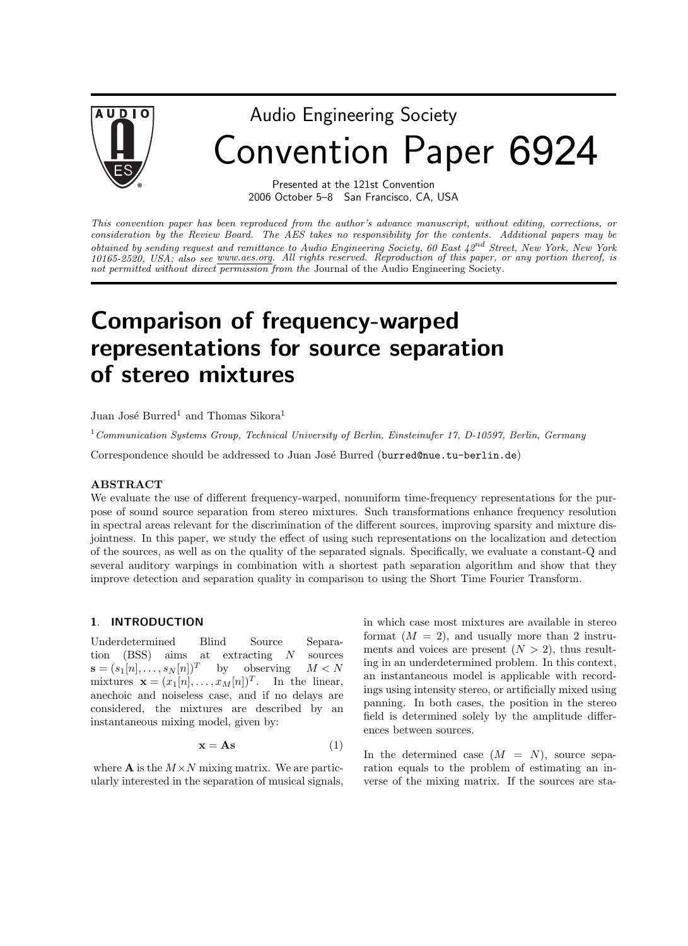

# Audio Engineering Society Convention Paper 6924

Presented at the 121st Convention 2006 October 5–8 San Francisco, CA, USA

This convention paper has been reproduced from the author's advance manuscript, without editing, corrections, or consideration by the Review Board. The AES takes no responsibility for the contents. Additional papers may be obtained by sending request and remittance to Audio Engineering Society, 60 East  $42^{nd}$  Street, New York, New York 10165-2520, USA; also see www.aes.org. All rights reserved. Reproduction of this paper, or any portion thereof, is not permitted without direct permission from the Journal of the Audio Engineering Society.

# Comparison of frequency-warped representations for source separation of stereo mixtures

Juan José Burred<sup>1</sup> and Thomas Sikora<sup>1</sup>

<sup>1</sup> Communication Systems Group, Technical University of Berlin, Einsteinufer 17, D-10597, Berlin, Germany

Correspondence should be addressed to Juan José Burred (burred@nue.tu-berlin.de)

#### ABSTRACT

We evaluate the use of different frequency-warped, nonuniform time-frequency representations for the purpose of sound source separation from stereo mixtures. Such transformations enhance frequency resolution in spectral areas relevant for the discrimination of the different sources, improving sparsity and mixture disjointness. In this paper, we study the effect of using such representations on the localization and detection of the sources, as well as on the quality of the separated signals. Specifically, we evaluate a constant-Q and several auditory warpings in combination with a shortest path separation algorithm and show that they improve detection and separation quality in comparison to using the Short Time Fourier Transform.

#### 1. INTRODUCTION

Underdetermined Blind Source Separation (BSS) aims at extracting N sources  $\mathbf{s} = (s_1[n], \ldots, s_N[n])^T$  by observing  $M < N$ mixtures  $\mathbf{x} = (x_1[n], \dots, x_M[n])^T$ . In the linear, anechoic and noiseless case, and if no delays are considered, the mixtures are described by an instantaneous mixing model, given by:

$$
\mathbf{x} = \mathbf{A}\mathbf{s} \tag{1}
$$

where **A** is the  $M \times N$  mixing matrix. We are particularly interested in the separation of musical signals, in which case most mixtures are available in stereo format  $(M = 2)$ , and usually more than 2 instruments and voices are present  $(N > 2)$ , thus resulting in an underdetermined problem. In this context, an instantaneous model is applicable with recordings using intensity stereo, or artificially mixed using panning. In both cases, the position in the stereo field is determined solely by the amplitude differences between sources.

In the determined case  $(M = N)$ , source separation equals to the problem of estimating an inverse of the mixing matrix. If the sources are sta-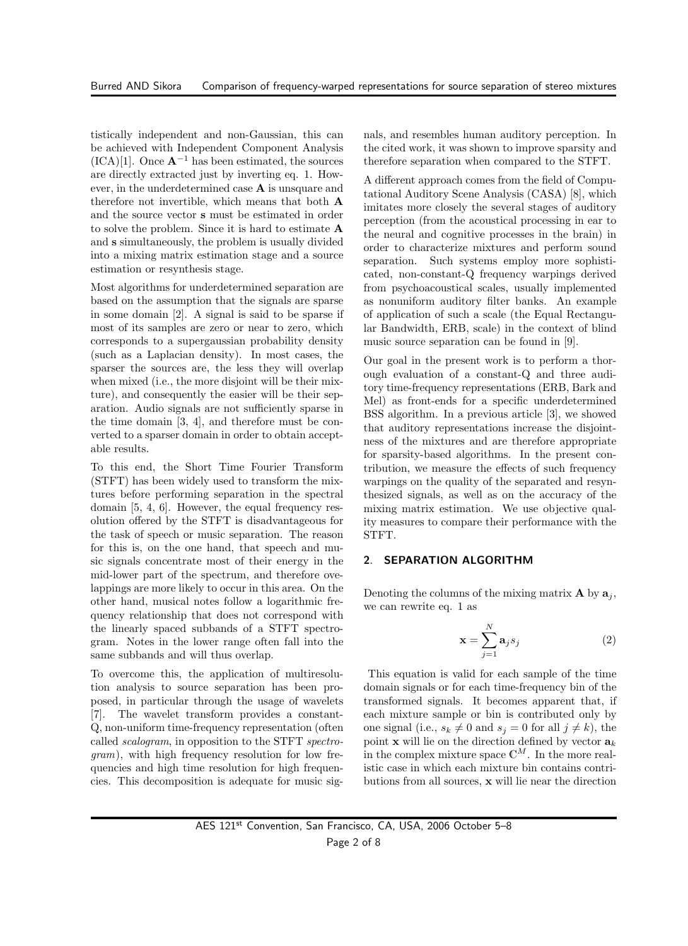tistically independent and non-Gaussian, this can be achieved with Independent Component Analysis (ICA)[1]. Once  $\mathbf{A}^{-1}$  has been estimated, the sources are directly extracted just by inverting eq. 1. However, in the underdetermined case A is unsquare and therefore not invertible, which means that both A and the source vector s must be estimated in order to solve the problem. Since it is hard to estimate A and s simultaneously, the problem is usually divided into a mixing matrix estimation stage and a source estimation or resynthesis stage.

Most algorithms for underdetermined separation are based on the assumption that the signals are sparse in some domain [2]. A signal is said to be sparse if most of its samples are zero or near to zero, which corresponds to a supergaussian probability density (such as a Laplacian density). In most cases, the sparser the sources are, the less they will overlap when mixed (i.e., the more disjoint will be their mixture), and consequently the easier will be their separation. Audio signals are not sufficiently sparse in the time domain [3, 4], and therefore must be converted to a sparser domain in order to obtain acceptable results.

To this end, the Short Time Fourier Transform (STFT) has been widely used to transform the mixtures before performing separation in the spectral domain [5, 4, 6]. However, the equal frequency resolution offered by the STFT is disadvantageous for the task of speech or music separation. The reason for this is, on the one hand, that speech and music signals concentrate most of their energy in the mid-lower part of the spectrum, and therefore ovelappings are more likely to occur in this area. On the other hand, musical notes follow a logarithmic frequency relationship that does not correspond with the linearly spaced subbands of a STFT spectrogram. Notes in the lower range often fall into the same subbands and will thus overlap.

To overcome this, the application of multiresolution analysis to source separation has been proposed, in particular through the usage of wavelets [7]. The wavelet transform provides a constant-Q, non-uniform time-frequency representation (often called scalogram, in opposition to the STFT spectrogram), with high frequency resolution for low frequencies and high time resolution for high frequencies. This decomposition is adequate for music signals, and resembles human auditory perception. In the cited work, it was shown to improve sparsity and therefore separation when compared to the STFT.

A different approach comes from the field of Computational Auditory Scene Analysis (CASA) [8], which imitates more closely the several stages of auditory perception (from the acoustical processing in ear to the neural and cognitive processes in the brain) in order to characterize mixtures and perform sound separation. Such systems employ more sophisticated, non-constant-Q frequency warpings derived from psychoacoustical scales, usually implemented as nonuniform auditory filter banks. An example of application of such a scale (the Equal Rectangular Bandwidth, ERB, scale) in the context of blind music source separation can be found in [9].

Our goal in the present work is to perform a thorough evaluation of a constant-Q and three auditory time-frequency representations (ERB, Bark and Mel) as front-ends for a specific underdetermined BSS algorithm. In a previous article [3], we showed that auditory representations increase the disjointness of the mixtures and are therefore appropriate for sparsity-based algorithms. In the present contribution, we measure the effects of such frequency warpings on the quality of the separated and resynthesized signals, as well as on the accuracy of the mixing matrix estimation. We use objective quality measures to compare their performance with the STFT.

### 2. SEPARATION ALGORITHM

Denoting the columns of the mixing matrix  $\bf{A}$  by  $\bf{a}_i$ , we can rewrite eq. 1 as

$$
\mathbf{x} = \sum_{j=1}^{N} \mathbf{a}_j s_j \tag{2}
$$

This equation is valid for each sample of the time domain signals or for each time-frequency bin of the transformed signals. It becomes apparent that, if each mixture sample or bin is contributed only by one signal (i.e.,  $s_k \neq 0$  and  $s_j = 0$  for all  $j \neq k$ ), the point **x** will lie on the direction defined by vector  $a_k$ in the complex mixture space  $\mathbb{C}^M$ . In the more realistic case in which each mixture bin contains contributions from all sources, x will lie near the direction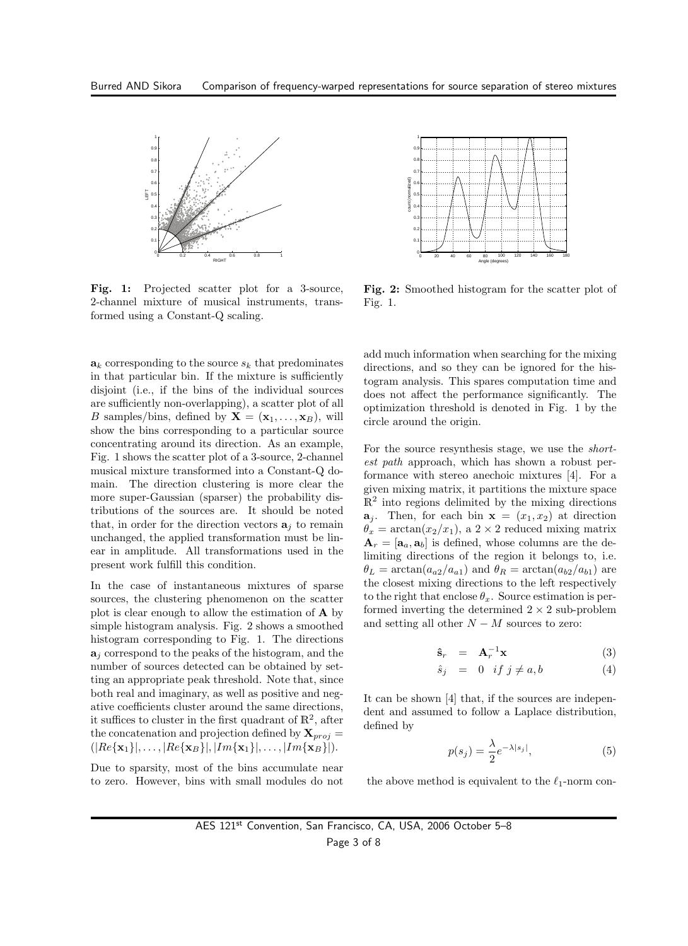

Fig. 1: Projected scatter plot for a 3-source, 2-channel mixture of musical instruments, transformed using a Constant-Q scaling.

 $a_k$  corresponding to the source  $s_k$  that predominates in that particular bin. If the mixture is sufficiently disjoint (i.e., if the bins of the individual sources are sufficiently non-overlapping), a scatter plot of all B samples/bins, defined by  $X = (x_1, \ldots, x_B)$ , will show the bins corresponding to a particular source concentrating around its direction. As an example, Fig. 1 shows the scatter plot of a 3-source, 2-channel musical mixture transformed into a Constant-Q domain. The direction clustering is more clear the more super-Gaussian (sparser) the probability distributions of the sources are. It should be noted that, in order for the direction vectors  $a_i$  to remain unchanged, the applied transformation must be linear in amplitude. All transformations used in the present work fulfill this condition.

In the case of instantaneous mixtures of sparse sources, the clustering phenomenon on the scatter plot is clear enough to allow the estimation of  $\bf{A}$  by simple histogram analysis. Fig. 2 shows a smoothed histogram corresponding to Fig. 1. The directions  $a_i$  correspond to the peaks of the histogram, and the number of sources detected can be obtained by setting an appropriate peak threshold. Note that, since both real and imaginary, as well as positive and negative coefficients cluster around the same directions, it suffices to cluster in the first quadrant of  $\mathbb{R}^2$ , after the concatenation and projection defined by  $X_{proj}$  =  $(|Re\{\mathbf{x}_1\}|,\ldots,|Re\{\mathbf{x}_B\}|,|Im\{\mathbf{x}_1\}|,\ldots,|Im\{\mathbf{x}_B\}|).$ 

Due to sparsity, most of the bins accumulate near to zero. However, bins with small modules do not



Fig. 2: Smoothed histogram for the scatter plot of Fig. 1.

add much information when searching for the mixing directions, and so they can be ignored for the histogram analysis. This spares computation time and does not affect the performance significantly. The optimization threshold is denoted in Fig. 1 by the circle around the origin.

For the source resynthesis stage, we use the shortest path approach, which has shown a robust performance with stereo anechoic mixtures [4]. For a given mixing matrix, it partitions the mixture space  $\mathbb{R}^2$  into regions delimited by the mixing directions  $\mathbf{a}_j$ . Then, for each bin  $\mathbf{x} = (x_1, x_2)$  at direction  $\theta_x = \arctan(x_2/x_1)$ , a  $2 \times 2$  reduced mixing matrix  $\mathbf{A}_r = [\mathbf{a}_a, \mathbf{a}_b]$  is defined, whose columns are the delimiting directions of the region it belongs to, i.e.  $\theta_L = \arctan(a_{a2}/a_{a1})$  and  $\theta_R = \arctan(a_{b2}/a_{b1})$  are the closest mixing directions to the left respectively to the right that enclose  $\theta_x$ . Source estimation is performed inverting the determined  $2 \times 2$  sub-problem and setting all other  $N - M$  sources to zero:

$$
\hat{\mathbf{s}}_r = \mathbf{A}_r^{-1} \mathbf{x} \tag{3}
$$

$$
\hat{s}_j = 0 \quad \text{if } j \neq a, b \tag{4}
$$

It can be shown [4] that, if the sources are independent and assumed to follow a Laplace distribution, defined by

$$
p(s_j) = \frac{\lambda}{2} e^{-\lambda|s_j|},\tag{5}
$$

the above method is equivalent to the  $\ell_1$ -norm con-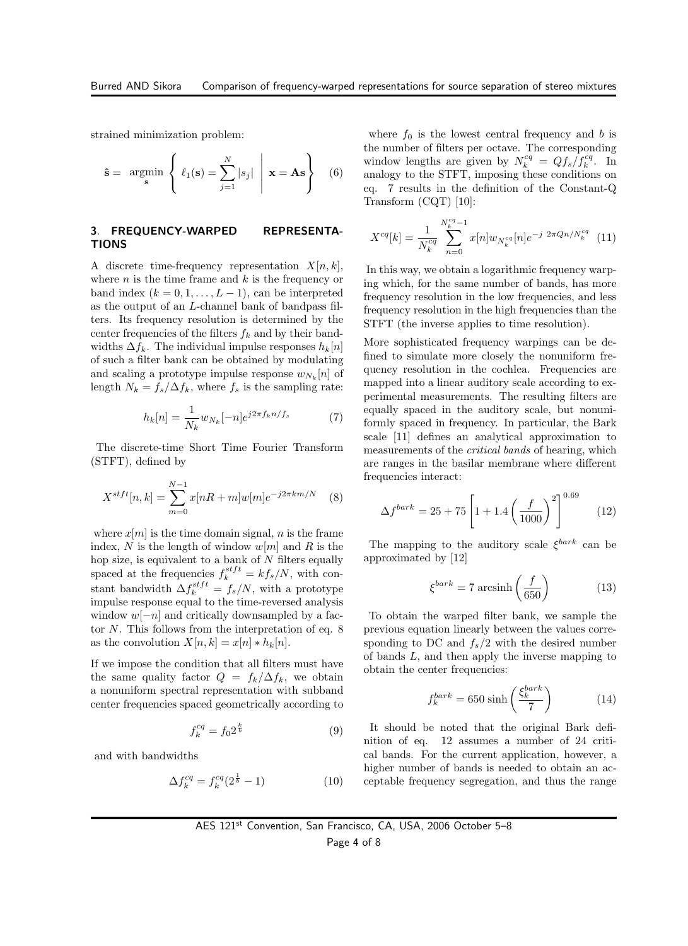strained minimization problem:

$$
\hat{\mathbf{s}} = \underset{\mathbf{s}}{\operatorname{argmin}} \left\{ \ell_1(\mathbf{s}) = \sum_{j=1}^{N} |s_j| \mid \mathbf{x} = \mathbf{A}\mathbf{s} \right\} \quad (6)
$$

#### 3. FREQUENCY-WARPED REPRESENTA-TIONS

A discrete time-frequency representation  $X[n, k]$ , where  $n$  is the time frame and  $k$  is the frequency or band index  $(k = 0, 1, \ldots, L-1)$ , can be interpreted as the output of an L-channel bank of bandpass filters. Its frequency resolution is determined by the center frequencies of the filters  $f_k$  and by their bandwidths  $\Delta f_k$ . The individual impulse responses  $h_k[n]$ of such a filter bank can be obtained by modulating and scaling a prototype impulse response  $w_{N_k}[n]$  of length  $N_k = f_s/\Delta f_k$ , where  $f_s$  is the sampling rate:

$$
h_k[n] = \frac{1}{N_k} w_{N_k}[-n] e^{j2\pi f_k n/f_s}
$$
 (7)

The discrete-time Short Time Fourier Transform (STFT), defined by

$$
X^{stft}[n,k] = \sum_{m=0}^{N-1} x[nR+m]w[m]e^{-j2\pi km/N}
$$
 (8)

where  $x[m]$  is the time domain signal, n is the frame index, N is the length of window  $w[m]$  and R is the hop size, is equivalent to a bank of  $N$  filters equally spaced at the frequencies  $f_k^{stft} = kf_s/N$ , with constant bandwidth  $\Delta f_k^{stft} = f_s/N$ , with a prototype impulse response equal to the time-reversed analysis window  $w[-n]$  and critically downsampled by a factor N. This follows from the interpretation of eq. 8 as the convolution  $X[n, k] = x[n] * h_k[n]$ .

If we impose the condition that all filters must have the same quality factor  $Q = f_k/\Delta f_k$ , we obtain a nonuniform spectral representation with subband center frequencies spaced geometrically according to

$$
f_k^{cq} = f_0 2^{\frac{k}{b}} \tag{9}
$$

and with bandwidths

$$
\Delta f_k^{cq} = f_k^{cq} (2^{\frac{1}{b}} - 1)
$$
 (10)

where  $f_0$  is the lowest central frequency and b is the number of filters per octave. The corresponding window lengths are given by  $N_k^{cq} = Qf_s/f_k^{cq}$ . In analogy to the STFT, imposing these conditions on eq. 7 results in the definition of the Constant-Q Transform (CQT) [10]:

$$
X^{cq}[k] = \frac{1}{N_k^{cq}} \sum_{n=0}^{N_k^{cq}-1} x[n] w_{N_k^{cq}}[n] e^{-j 2\pi Qn/N_k^{cq}} \tag{11}
$$

In this way, we obtain a logarithmic frequency warping which, for the same number of bands, has more frequency resolution in the low frequencies, and less frequency resolution in the high frequencies than the STFT (the inverse applies to time resolution).

More sophisticated frequency warpings can be defined to simulate more closely the nonuniform frequency resolution in the cochlea. Frequencies are mapped into a linear auditory scale according to experimental measurements. The resulting filters are equally spaced in the auditory scale, but nonuniformly spaced in frequency. In particular, the Bark scale [11] defines an analytical approximation to measurements of the critical bands of hearing, which are ranges in the basilar membrane where different frequencies interact:

$$
\Delta f^{bark} = 25 + 75 \left[ 1 + 1.4 \left( \frac{f}{1000} \right)^2 \right]^{0.69} \tag{12}
$$

The mapping to the auditory scale  $\xi^{bark}$  can be approximated by [12]

$$
\xi^{bark} = 7 \operatorname{arcsinh}\left(\frac{f}{650}\right) \tag{13}
$$

To obtain the warped filter bank, we sample the previous equation linearly between the values corresponding to DC and  $f_s/2$  with the desired number of bands L, and then apply the inverse mapping to obtain the center frequencies:

$$
f_k^{bark} = 650 \sinh\left(\frac{\xi_k^{bark}}{7}\right) \tag{14}
$$

It should be noted that the original Bark definition of eq. 12 assumes a number of 24 critical bands. For the current application, however, a higher number of bands is needed to obtain an acceptable frequency segregation, and thus the range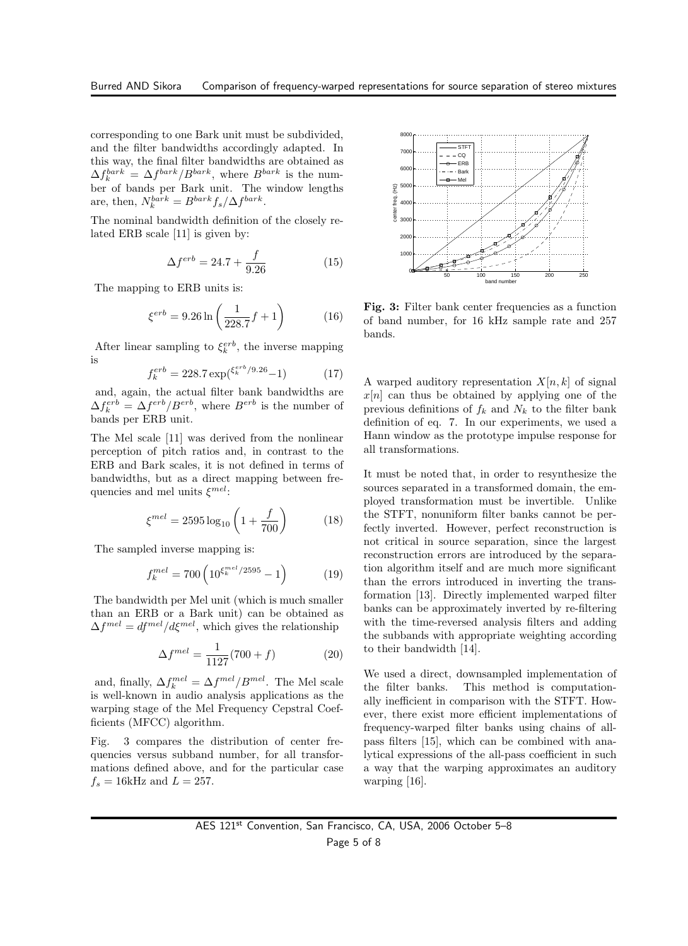corresponding to one Bark unit must be subdivided, and the filter bandwidths accordingly adapted. In this way, the final filter bandwidths are obtained as  $\Delta f_k^{bark} = \Delta f^{bark}/B^{bark}$ , where  $B^{bark}$  is the number of bands per Bark unit. The window lengths are, then,  $N_k^{bark} = B^{bark} f_s / \Delta f^{bark}$ .

The nominal bandwidth definition of the closely related ERB scale [11] is given by:

$$
\Delta f^{erb} = 24.7 + \frac{f}{9.26}
$$
 (15)

The mapping to ERB units is:

$$
\xi^{erb} = 9.26 \ln \left( \frac{1}{228.7} f + 1 \right) \tag{16}
$$

After linear sampling to  $\xi_k^{erb}$ , the inverse mapping is

$$
f_k^{erb} = 228.7 \exp(\xi_k^{erb}/9.26 - 1) \tag{17}
$$

and, again, the actual filter bank bandwidths are  $\Delta f_k^{erb} = \Delta f^{erb} / B^{erb}$ , where  $B^{erb}$  is the number of bands per ERB unit.

The Mel scale [11] was derived from the nonlinear perception of pitch ratios and, in contrast to the ERB and Bark scales, it is not defined in terms of bandwidths, but as a direct mapping between frequencies and mel units  $\xi^{mel}$ :

$$
\xi^{mel} = 2595 \log_{10} \left( 1 + \frac{f}{700} \right) \tag{18}
$$

The sampled inverse mapping is:

$$
f_k^{mel} = 700 \left( 10^{\xi_k^{mel}/2595} - 1 \right) \tag{19}
$$

The bandwidth per Mel unit (which is much smaller than an ERB or a Bark unit) can be obtained as  $\Delta f^{mel} = df^{mel}/d\xi^{mel}$ , which gives the relationship

$$
\Delta f^{mel} = \frac{1}{1127}(700 + f) \tag{20}
$$

and, finally,  $\Delta f_k^{mel} = \Delta f^{mel} / B^{mel}$ . The Mel scale is well-known in audio analysis applications as the warping stage of the Mel Frequency Cepstral Coefficients (MFCC) algorithm.

Fig. 3 compares the distribution of center frequencies versus subband number, for all transformations defined above, and for the particular case  $f_s = 16$ kHz and  $L = 257$ .



Fig. 3: Filter bank center frequencies as a function of band number, for 16 kHz sample rate and 257 bands.

A warped auditory representation  $X[n, k]$  of signal  $x[n]$  can thus be obtained by applying one of the previous definitions of  $f_k$  and  $N_k$  to the filter bank definition of eq. 7. In our experiments, we used a Hann window as the prototype impulse response for all transformations.

It must be noted that, in order to resynthesize the sources separated in a transformed domain, the employed transformation must be invertible. Unlike the STFT, nonuniform filter banks cannot be perfectly inverted. However, perfect reconstruction is not critical in source separation, since the largest reconstruction errors are introduced by the separation algorithm itself and are much more significant than the errors introduced in inverting the transformation [13]. Directly implemented warped filter banks can be approximately inverted by re-filtering with the time-reversed analysis filters and adding the subbands with appropriate weighting according to their bandwidth [14].

We used a direct, downsampled implementation of the filter banks. This method is computationally inefficient in comparison with the STFT. However, there exist more efficient implementations of frequency-warped filter banks using chains of allpass filters [15], which can be combined with analytical expressions of the all-pass coefficient in such a way that the warping approximates an auditory warping [16].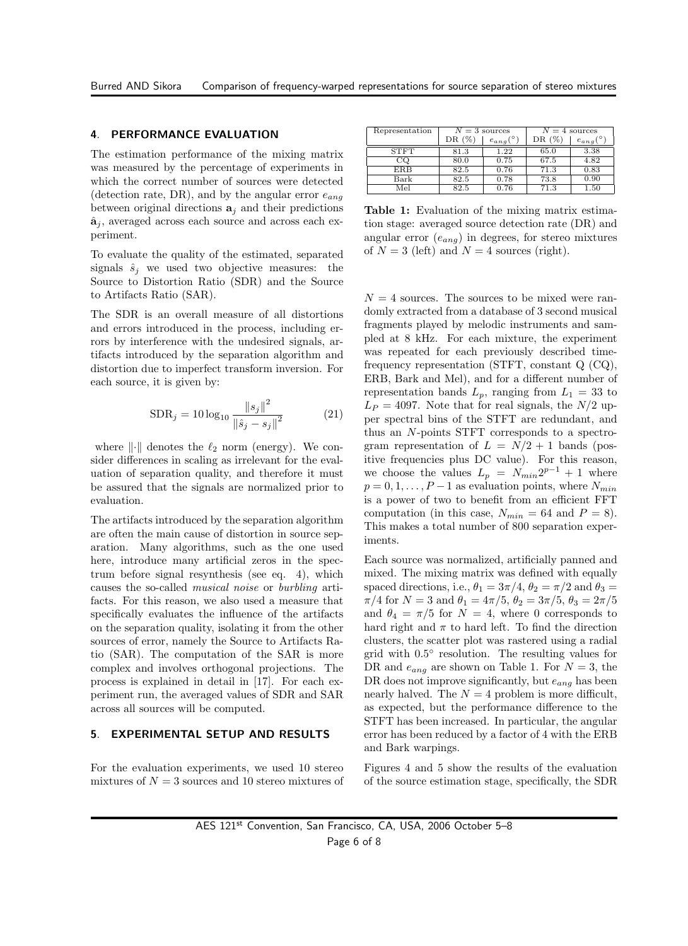#### 4. PERFORMANCE EVALUATION

The estimation performance of the mixing matrix was measured by the percentage of experiments in which the correct number of sources were detected (detection rate, DR), and by the angular error  $e_{ana}$ between original directions  $a_i$  and their predictions  $\hat{\mathbf{a}}_i$ , averaged across each source and across each experiment.

To evaluate the quality of the estimated, separated signals  $\hat{s}_i$  we used two objective measures: the Source to Distortion Ratio (SDR) and the Source to Artifacts Ratio (SAR).

The SDR is an overall measure of all distortions and errors introduced in the process, including errors by interference with the undesired signals, artifacts introduced by the separation algorithm and distortion due to imperfect transform inversion. For each source, it is given by:

$$
SDR_{j} = 10 \log_{10} \frac{\|s_{j}\|^{2}}{\|\hat{s}_{j} - s_{j}\|^{2}}
$$
 (21)

where  $\|\cdot\|$  denotes the  $\ell_2$  norm (energy). We consider differences in scaling as irrelevant for the evaluation of separation quality, and therefore it must be assured that the signals are normalized prior to evaluation.

The artifacts introduced by the separation algorithm are often the main cause of distortion in source separation. Many algorithms, such as the one used here, introduce many artificial zeros in the spectrum before signal resynthesis (see eq. 4), which causes the so-called musical noise or burbling artifacts. For this reason, we also used a measure that specifically evaluates the influence of the artifacts on the separation quality, isolating it from the other sources of error, namely the Source to Artifacts Ratio (SAR). The computation of the SAR is more complex and involves orthogonal projections. The process is explained in detail in [17]. For each experiment run, the averaged values of SDR and SAR across all sources will be computed.

#### 5. EXPERIMENTAL SETUP AND RESULTS

For the evaluation experiments, we used 10 stereo mixtures of  $N = 3$  sources and 10 stereo mixtures of

| Representation | $N=3$ sources |           | $N=4$ sources |           |
|----------------|---------------|-----------|---------------|-----------|
|                | DR $(\%$      | $e_{ang}$ | DR $(\%$      | $e_{ang}$ |
| <b>STFT</b>    | 81.3          | 1.22      | 65.0          | 3.38      |
| CQ             | 80.0          | 0.75      | 67.5          | 4.82      |
| <b>ERB</b>     | 82.5          | 0.76      | 71.3          | 0.83      |
| Bark           | 82.5          | 0.78      | 73.8          | 0.90      |
| Mel            | 82.5          | 0.76      | 71.3          | 1.50      |

Table 1: Evaluation of the mixing matrix estimation stage: averaged source detection rate (DR) and angular error  $(e_{anq})$  in degrees, for stereo mixtures of  $N = 3$  (left) and  $N = 4$  sources (right).

 $N = 4$  sources. The sources to be mixed were randomly extracted from a database of 3 second musical fragments played by melodic instruments and sampled at 8 kHz. For each mixture, the experiment was repeated for each previously described timefrequency representation (STFT, constant Q (CQ), ERB, Bark and Mel), and for a different number of representation bands  $L_p$ , ranging from  $L_1 = 33$  to  $L_P = 4097$ . Note that for real signals, the  $N/2$  upper spectral bins of the STFT are redundant, and thus an N-points STFT corresponds to a spectrogram representation of  $L = N/2 + 1$  bands (positive frequencies plus DC value). For this reason, we choose the values  $L_p = N_{min} 2^{p-1} + 1$  where  $p = 0, 1, \ldots, P-1$  as evaluation points, where  $N_{min}$ is a power of two to benefit from an efficient FFT computation (in this case,  $N_{min} = 64$  and  $P = 8$ ). This makes a total number of 800 separation experiments.

Each source was normalized, artificially panned and mixed. The mixing matrix was defined with equally spaced directions, i.e.,  $\theta_1 = 3\pi/4$ ,  $\theta_2 = \pi/2$  and  $\theta_3 =$  $\pi/4$  for  $N = 3$  and  $\theta_1 = 4\pi/5$ ,  $\theta_2 = 3\pi/5$ ,  $\theta_3 = 2\pi/5$ and  $\theta_4 = \pi/5$  for  $N = 4$ , where 0 corresponds to hard right and  $\pi$  to hard left. To find the direction clusters, the scatter plot was rastered using a radial grid with 0.5 ◦ resolution. The resulting values for DR and  $e_{ang}$  are shown on Table 1. For  $N = 3$ , the DR does not improve significantly, but  $e_{ang}$  has been nearly halved. The  $N = 4$  problem is more difficult, as expected, but the performance difference to the STFT has been increased. In particular, the angular error has been reduced by a factor of 4 with the ERB and Bark warpings.

Figures 4 and 5 show the results of the evaluation of the source estimation stage, specifically, the SDR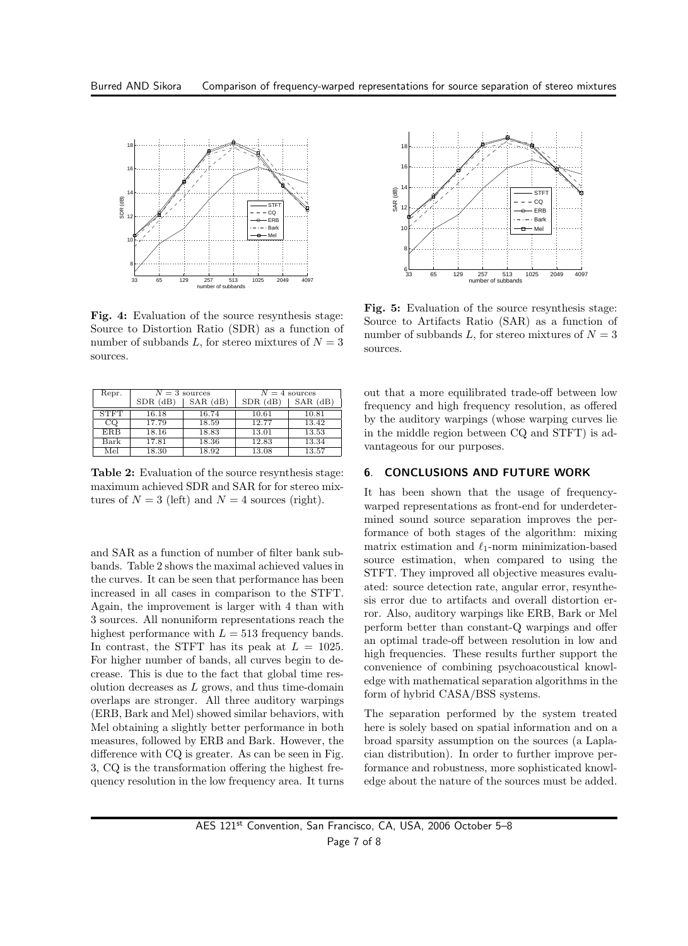

Fig. 4: Evaluation of the source resynthesis stage: Source to Distortion Ratio (SDR) as a function of number of subbands L, for stereo mixtures of  $N = 3$ sources.

| Repr.       | $N=3$ sources  |            | $N=4$ sources |            |
|-------------|----------------|------------|---------------|------------|
|             | $SDR$ ( $dB$ ) | $SAR$ (dB) | $SDR$ (dB)    | $SAR$ (dB) |
| <b>STFT</b> | 16.18          | 16.74      | 10.61         | 10.81      |
| CO          | 17.79          | 18.59      | 12.77         | 13.42      |
| ERB         | 18.16          | 18.83      | 13.01         | 13.53      |
| Bark        | 17.81          | 18.36      | 12.83         | 13.34      |
| Mel         | 18.30          | 18.92      | 13.08         | 13.57      |

Table 2: Evaluation of the source resynthesis stage: maximum achieved SDR and SAR for for stereo mixtures of  $N = 3$  (left) and  $N = 4$  sources (right).

and SAR as a function of number of filter bank subbands. Table 2 shows the maximal achieved values in the curves. It can be seen that performance has been increased in all cases in comparison to the STFT. Again, the improvement is larger with 4 than with 3 sources. All nonuniform representations reach the highest performance with  $L = 513$  frequency bands. In contrast, the STFT has its peak at  $L = 1025$ . For higher number of bands, all curves begin to decrease. This is due to the fact that global time resolution decreases as  $L$  grows, and thus time-domain overlaps are stronger. All three auditory warpings (ERB, Bark and Mel) showed similar behaviors, with Mel obtaining a slightly better performance in both measures, followed by ERB and Bark. However, the difference with CQ is greater. As can be seen in Fig. 3, CQ is the transformation offering the highest frequency resolution in the low frequency area. It turns



Fig. 5: Evaluation of the source resynthesis stage: Source to Artifacts Ratio (SAR) as a function of number of subbands L, for stereo mixtures of  $N = 3$ sources.

out that a more equilibrated trade-off between low frequency and high frequency resolution, as offered by the auditory warpings (whose warping curves lie in the middle region between CQ and STFT) is advantageous for our purposes.

#### 6. CONCLUSIONS AND FUTURE WORK

It has been shown that the usage of frequencywarped representations as front-end for underdetermined sound source separation improves the performance of both stages of the algorithm: mixing matrix estimation and  $\ell_1$ -norm minimization-based source estimation, when compared to using the STFT. They improved all objective measures evaluated: source detection rate, angular error, resynthesis error due to artifacts and overall distortion error. Also, auditory warpings like ERB, Bark or Mel perform better than constant-Q warpings and offer an optimal trade-off between resolution in low and high frequencies. These results further support the convenience of combining psychoacoustical knowledge with mathematical separation algorithms in the form of hybrid CASA/BSS systems.

The separation performed by the system treated here is solely based on spatial information and on a broad sparsity assumption on the sources (a Laplacian distribution). In order to further improve performance and robustness, more sophisticated knowledge about the nature of the sources must be added.